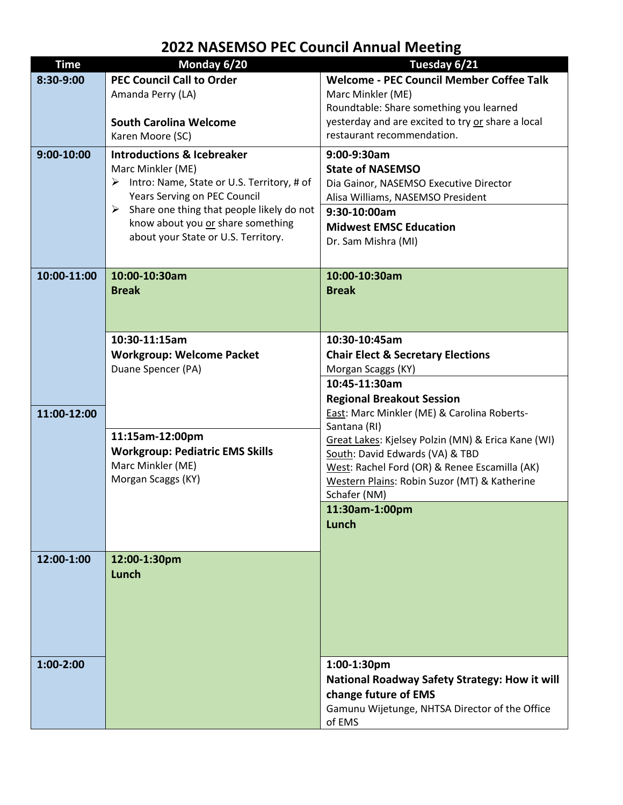## **2022 NASEMSO PEC Council Annual Meeting**

| <b>Time</b> | Monday 6/20                                                                                                                                                                                                                                                                 | Tuesday 6/21                                                                                                                                                                                                                                                                                     |
|-------------|-----------------------------------------------------------------------------------------------------------------------------------------------------------------------------------------------------------------------------------------------------------------------------|--------------------------------------------------------------------------------------------------------------------------------------------------------------------------------------------------------------------------------------------------------------------------------------------------|
| 8:30-9:00   | <b>PEC Council Call to Order</b><br>Amanda Perry (LA)<br><b>South Carolina Welcome</b><br>Karen Moore (SC)                                                                                                                                                                  | <b>Welcome - PEC Council Member Coffee Talk</b><br>Marc Minkler (ME)<br>Roundtable: Share something you learned<br>yesterday and are excited to try or share a local<br>restaurant recommendation.                                                                                               |
| 9:00-10:00  | <b>Introductions &amp; Icebreaker</b><br>Marc Minkler (ME)<br>Intro: Name, State or U.S. Territory, # of<br>➤<br>Years Serving on PEC Council<br>Share one thing that people likely do not<br>➤<br>know about you or share something<br>about your State or U.S. Territory. | 9:00-9:30am<br><b>State of NASEMSO</b><br>Dia Gainor, NASEMSO Executive Director<br>Alisa Williams, NASEMSO President<br>9:30-10:00am<br><b>Midwest EMSC Education</b><br>Dr. Sam Mishra (MI)                                                                                                    |
| 10:00-11:00 | 10:00-10:30am<br><b>Break</b>                                                                                                                                                                                                                                               | 10:00-10:30am<br><b>Break</b>                                                                                                                                                                                                                                                                    |
|             | 10:30-11:15am<br><b>Workgroup: Welcome Packet</b><br>Duane Spencer (PA)                                                                                                                                                                                                     | 10:30-10:45am<br><b>Chair Elect &amp; Secretary Elections</b><br>Morgan Scaggs (KY)<br>10:45-11:30am<br><b>Regional Breakout Session</b>                                                                                                                                                         |
| 11:00-12:00 | 11:15am-12:00pm<br><b>Workgroup: Pediatric EMS Skills</b><br>Marc Minkler (ME)<br>Morgan Scaggs (KY)                                                                                                                                                                        | East: Marc Minkler (ME) & Carolina Roberts-<br>Santana (RI)<br>Great Lakes: Kjelsey Polzin (MN) & Erica Kane (WI)<br>South: David Edwards (VA) & TBD<br>West: Rachel Ford (OR) & Renee Escamilla (AK)<br>Western Plains: Robin Suzor (MT) & Katherine<br>Schafer (NM)<br>11:30am-1:00pm<br>Lunch |
| 12:00-1:00  | 12:00-1:30pm<br>Lunch                                                                                                                                                                                                                                                       |                                                                                                                                                                                                                                                                                                  |
| $1:00-2:00$ |                                                                                                                                                                                                                                                                             | 1:00-1:30pm<br>National Roadway Safety Strategy: How it will<br>change future of EMS<br>Gamunu Wijetunge, NHTSA Director of the Office<br>of EMS                                                                                                                                                 |